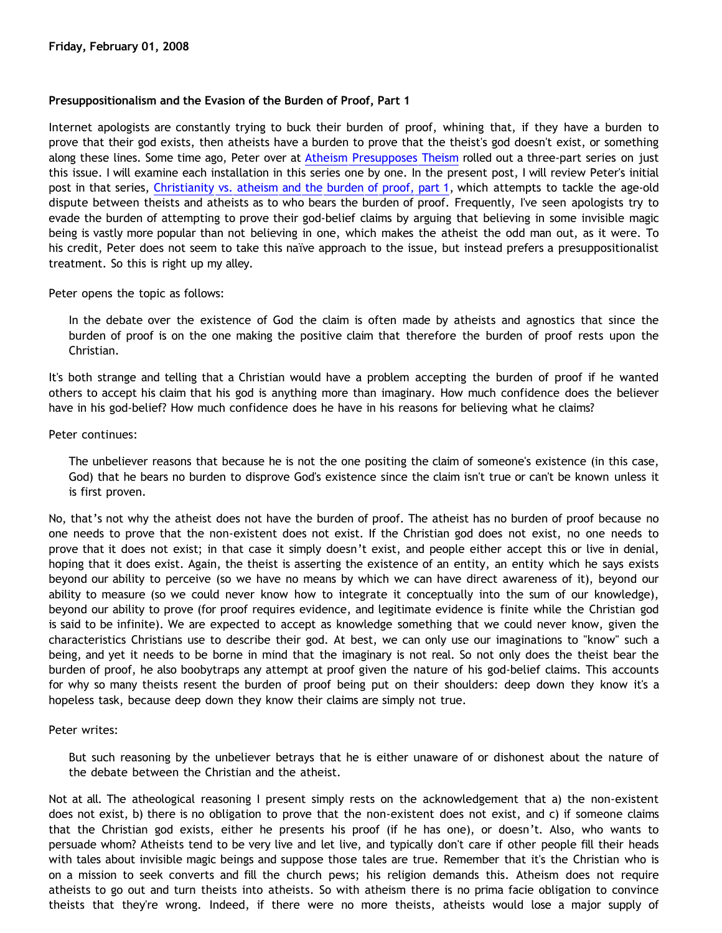# **Presuppositionalism and the Evasion of the Burden of Proof, Part 1**

Internet apologists are constantly trying to buck their burden of proof, whining that, if they have a burden to prove that their god exists, then atheists have a burden to prove that the theist's god doesn't exist, or something along these lines. Some time ago, Peter over at [Atheism Presupposes Theism](http://gregbahnsen.blogspot.com/) rolled out a three-part series on just this issue. I will examine each installation in this series one by one. In the present post, I will review Peter's initial post in that series, [Christianity vs. atheism and the burden of proof, part 1](http://gregbahnsen.blogspot.com/2007/06/christianity-vs-atheism-and-burden-of.html), which attempts to tackle the age-old dispute between theists and atheists as to who bears the burden of proof. Frequently, I've seen apologists try to evade the burden of attempting to prove their god-belief claims by arguing that believing in some invisible magic being is vastly more popular than not believing in one, which makes the atheist the odd man out, as it were. To his credit, Peter does not seem to take this naïve approach to the issue, but instead prefers a presuppositionalist treatment. So this is right up my alley.

Peter opens the topic as follows:

In the debate over the existence of God the claim is often made by atheists and agnostics that since the burden of proof is on the one making the positive claim that therefore the burden of proof rests upon the Christian.

It's both strange and telling that a Christian would have a problem accepting the burden of proof if he wanted others to accept his claim that his god is anything more than imaginary. How much confidence does the believer have in his god-belief? How much confidence does he have in his reasons for believing what he claims?

# Peter continues:

The unbeliever reasons that because he is not the one positing the claim of someone's existence (in this case, God) that he bears no burden to disprove God's existence since the claim isn't true or can't be known unless it is first proven.

No, that's not why the atheist does not have the burden of proof. The atheist has no burden of proof because no one needs to prove that the non-existent does not exist. If the Christian god does not exist, no one needs to prove that it does not exist; in that case it simply doesn't exist, and people either accept this or live in denial, hoping that it does exist. Again, the theist is asserting the existence of an entity, an entity which he says exists beyond our ability to perceive (so we have no means by which we can have direct awareness of it), beyond our ability to measure (so we could never know how to integrate it conceptually into the sum of our knowledge), beyond our ability to prove (for proof requires evidence, and legitimate evidence is finite while the Christian god is said to be infinite). We are expected to accept as knowledge something that we could never know, given the characteristics Christians use to describe their god. At best, we can only use our imaginations to "know" such a being, and yet it needs to be borne in mind that the imaginary is not real. So not only does the theist bear the burden of proof, he also boobytraps any attempt at proof given the nature of his god-belief claims. This accounts for why so many theists resent the burden of proof being put on their shoulders: deep down they know it's a hopeless task, because deep down they know their claims are simply not true.

# Peter writes:

But such reasoning by the unbeliever betrays that he is either unaware of or dishonest about the nature of the debate between the Christian and the atheist.

Not at all. The atheological reasoning I present simply rests on the acknowledgement that a) the non-existent does not exist, b) there is no obligation to prove that the non-existent does not exist, and c) if someone claims that the Christian god exists, either he presents his proof (if he has one), or doesn't. Also, who wants to persuade whom? Atheists tend to be very live and let live, and typically don't care if other people fill their heads with tales about invisible magic beings and suppose those tales are true. Remember that it's the Christian who is on a mission to seek converts and fill the church pews; his religion demands this. Atheism does not require atheists to go out and turn theists into atheists. So with atheism there is no prima facie obligation to convince theists that they're wrong. Indeed, if there were no more theists, atheists would lose a major supply of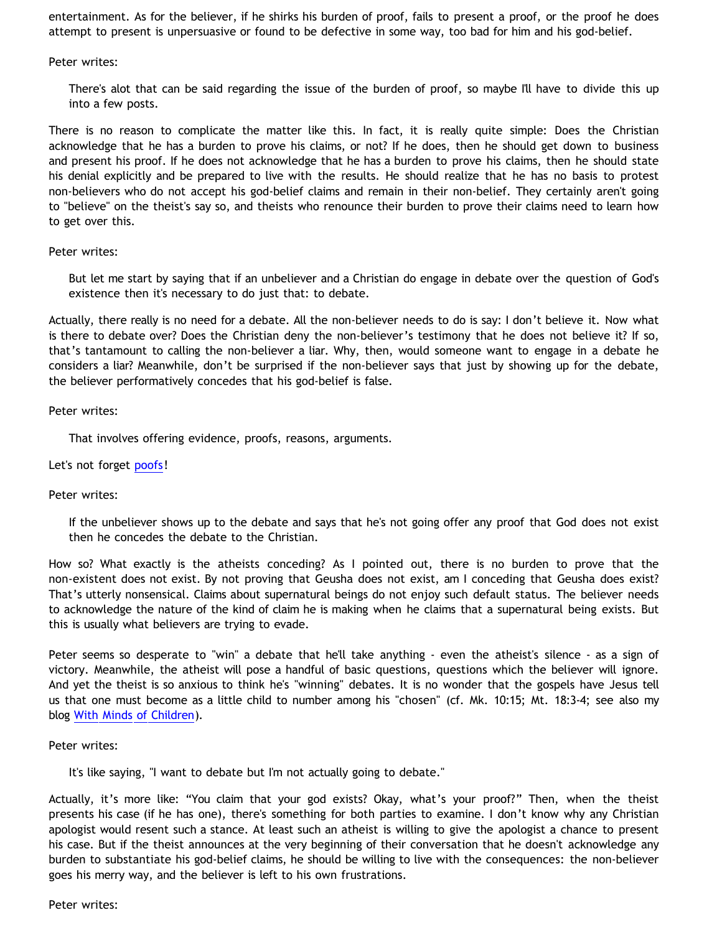entertainment. As for the believer, if he shirks his burden of proof, fails to present a proof, or the proof he does attempt to present is unpersuasive or found to be defective in some way, too bad for him and his god-belief.

Peter writes:

There's alot that can be said regarding the issue of the burden of proof, so maybe I'll have to divide this up into a few posts.

There is no reason to complicate the matter like this. In fact, it is really quite simple: Does the Christian acknowledge that he has a burden to prove his claims, or not? If he does, then he should get down to business and present his proof. If he does not acknowledge that he has a burden to prove his claims, then he should state his denial explicitly and be prepared to live with the results. He should realize that he has no basis to protest non-believers who do not accept his god-belief claims and remain in their non-belief. They certainly aren't going to "believe" on the theist's say so, and theists who renounce their burden to prove their claims need to learn how to get over this.

### Peter writes:

But let me start by saying that if an unbeliever and a Christian do engage in debate over the question of God's existence then it's necessary to do just that: to debate.

Actually, there really is no need for a debate. All the non-believer needs to do is say: I don't believe it. Now what is there to debate over? Does the Christian deny the non-believer's testimony that he does not believe it? If so, that's tantamount to calling the non-believer a liar. Why, then, would someone want to engage in a debate he considers a liar? Meanwhile, don't be surprised if the non-believer says that just by showing up for the debate, the believer performatively concedes that his god-belief is false.

Peter writes:

That involves offering evidence, proofs, reasons, arguments.

Let's not forget [poofs](http://bahnsenburner.blogspot.com/2005/03/bahnsens-poof.html)!

Peter writes:

If the unbeliever shows up to the debate and says that he's not going offer any proof that God does not exist then he concedes the debate to the Christian.

How so? What exactly is the atheists conceding? As I pointed out, there is no burden to prove that the non-existent does not exist. By not proving that Geusha does not exist, am I conceding that Geusha does exist? That's utterly nonsensical. Claims about supernatural beings do not enjoy such default status. The believer needs to acknowledge the nature of the kind of claim he is making when he claims that a supernatural being exists. But this is usually what believers are trying to evade.

Peter seems so desperate to "win" a debate that he'll take anything - even the atheist's silence - as a sign of victory. Meanwhile, the atheist will pose a handful of basic questions, questions which the believer will ignore. And yet the theist is so anxious to think he's "winning" debates. It is no wonder that the gospels have Jesus tell us that one must become as a little child to number among his "chosen" (cf. Mk. 10:15; Mt. 18:3-4; see also my blog [With Minds of Children](http://bahnsenburner.blogspot.com/2005/12/with-minds-of-children.html)).

#### Peter writes:

It's like saying, "I want to debate but I'm not actually going to debate."

Actually, it's more like: "You claim that your god exists? Okay, what's your proof?" Then, when the theist presents his case (if he has one), there's something for both parties to examine. I don't know why any Christian apologist would resent such a stance. At least such an atheist is willing to give the apologist a chance to present his case. But if the theist announces at the very beginning of their conversation that he doesn't acknowledge any burden to substantiate his god-belief claims, he should be willing to live with the consequences: the non-believer goes his merry way, and the believer is left to his own frustrations.

Peter writes: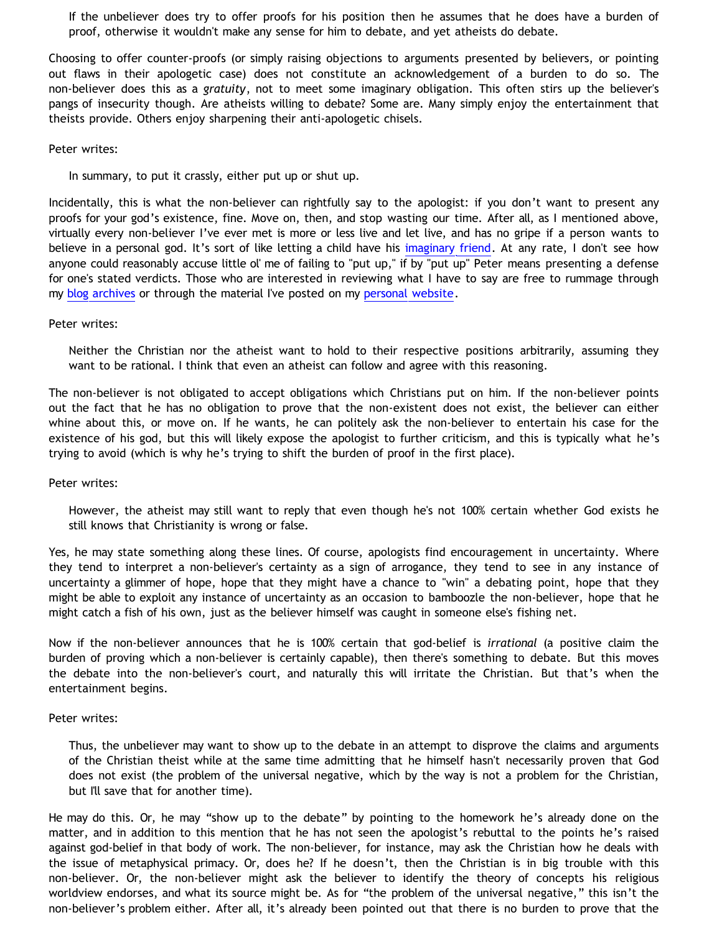If the unbeliever does try to offer proofs for his position then he assumes that he does have a burden of proof, otherwise it wouldn't make any sense for him to debate, and yet atheists do debate.

Choosing to offer counter-proofs (or simply raising objections to arguments presented by believers, or pointing out flaws in their apologetic case) does not constitute an acknowledgement of a burden to do so. The non-believer does this as a *gratuity*, not to meet some imaginary obligation. This often stirs up the believer's pangs of insecurity though. Are atheists willing to debate? Some are. Many simply enjoy the entertainment that theists provide. Others enjoy sharpening their anti-apologetic chisels.

#### Peter writes:

In summary, to put it crassly, either put up or shut up.

Incidentally, this is what the non-believer can rightfully say to the apologist: if you don't want to present any proofs for your god's existence, fine. Move on, then, and stop wasting our time. After all, as I mentioned above, virtually every non-believer I've ever met is more or less live and let live, and has no gripe if a person wants to believe in a personal god. It's sort of like letting a child have his [imaginary friend](http://bahnsenburner.blogspot.com/2006/08/christianity-imaginary-friends-network.html). At any rate, I don't see how anyone could reasonably accuse little ol' me of failing to "put up," if by "put up" Peter means presenting a defense for one's stated verdicts. Those who are interested in reviewing what I have to say are free to rummage through my [blog archives](http://www.geocities.com/katholon2/ip.htm) or through the material I've posted on my [personal website.](http://www.geocities.com/katholon/writings.htm)

### Peter writes:

Neither the Christian nor the atheist want to hold to their respective positions arbitrarily, assuming they want to be rational. I think that even an atheist can follow and agree with this reasoning.

The non-believer is not obligated to accept obligations which Christians put on him. If the non-believer points out the fact that he has no obligation to prove that the non-existent does not exist, the believer can either whine about this, or move on. If he wants, he can politely ask the non-believer to entertain his case for the existence of his god, but this will likely expose the apologist to further criticism, and this is typically what he's trying to avoid (which is why he's trying to shift the burden of proof in the first place).

#### Peter writes:

However, the atheist may still want to reply that even though he's not 100% certain whether God exists he still knows that Christianity is wrong or false.

Yes, he may state something along these lines. Of course, apologists find encouragement in uncertainty. Where they tend to interpret a non-believer's certainty as a sign of arrogance, they tend to see in any instance of uncertainty a glimmer of hope, hope that they might have a chance to "win" a debating point, hope that they might be able to exploit any instance of uncertainty as an occasion to bamboozle the non-believer, hope that he might catch a fish of his own, just as the believer himself was caught in someone else's fishing net.

Now if the non-believer announces that he is 100% certain that god-belief is *irrational* (a positive claim the burden of proving which a non-believer is certainly capable), then there's something to debate. But this moves the debate into the non-believer's court, and naturally this will irritate the Christian. But that's when the entertainment begins.

# Peter writes:

Thus, the unbeliever may want to show up to the debate in an attempt to disprove the claims and arguments of the Christian theist while at the same time admitting that he himself hasn't necessarily proven that God does not exist (the problem of the universal negative, which by the way is not a problem for the Christian, but I'll save that for another time).

He may do this. Or, he may "show up to the debate" by pointing to the homework he's already done on the matter, and in addition to this mention that he has not seen the apologist's rebuttal to the points he's raised against god-belief in that body of work. The non-believer, for instance, may ask the Christian how he deals with the issue of metaphysical primacy. Or, does he? If he doesn't, then the Christian is in big trouble with this non-believer. Or, the non-believer might ask the believer to identify the theory of concepts his religious worldview endorses, and what its source might be. As for "the problem of the universal negative," this isn't the non-believer's problem either. After all, it's already been pointed out that there is no burden to prove that the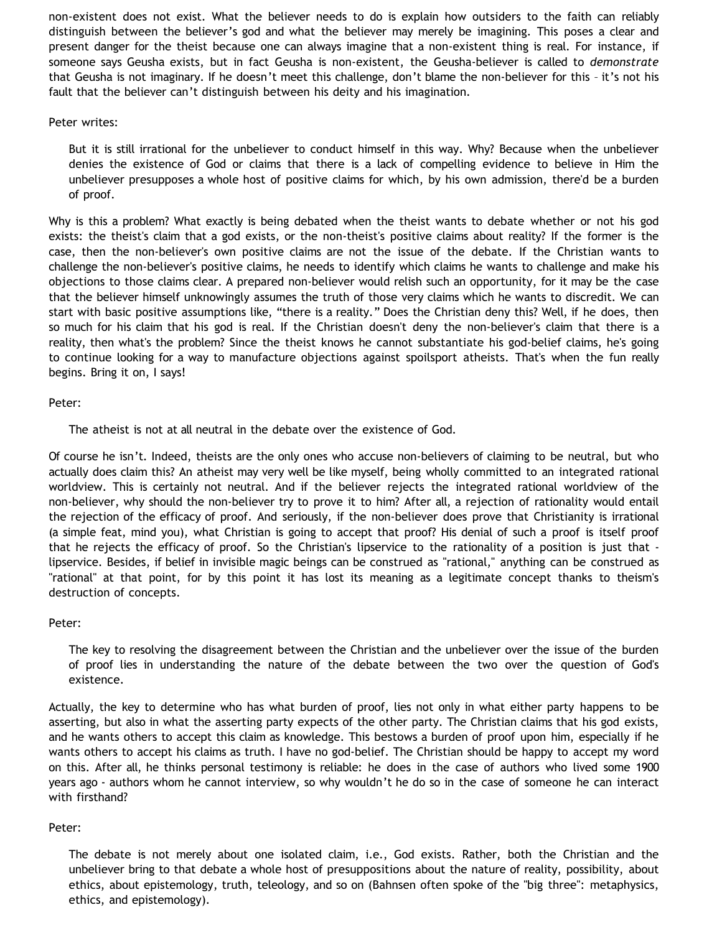non-existent does not exist. What the believer needs to do is explain how outsiders to the faith can reliably distinguish between the believer's god and what the believer may merely be imagining. This poses a clear and present danger for the theist because one can always imagine that a non-existent thing is real. For instance, if someone says Geusha exists, but in fact Geusha is non-existent, the Geusha-believer is called to *demonstrate* that Geusha is not imaginary. If he doesn't meet this challenge, don't blame the non-believer for this – it's not his fault that the believer can't distinguish between his deity and his imagination.

### Peter writes:

But it is still irrational for the unbeliever to conduct himself in this way. Why? Because when the unbeliever denies the existence of God or claims that there is a lack of compelling evidence to believe in Him the unbeliever presupposes a whole host of positive claims for which, by his own admission, there'd be a burden of proof.

Why is this a problem? What exactly is being debated when the theist wants to debate whether or not his god exists: the theist's claim that a god exists, or the non-theist's positive claims about reality? If the former is the case, then the non-believer's own positive claims are not the issue of the debate. If the Christian wants to challenge the non-believer's positive claims, he needs to identify which claims he wants to challenge and make his objections to those claims clear. A prepared non-believer would relish such an opportunity, for it may be the case that the believer himself unknowingly assumes the truth of those very claims which he wants to discredit. We can start with basic positive assumptions like, "there is a reality." Does the Christian deny this? Well, if he does, then so much for his claim that his god is real. If the Christian doesn't deny the non-believer's claim that there is a reality, then what's the problem? Since the theist knows he cannot substantiate his god-belief claims, he's going to continue looking for a way to manufacture objections against spoilsport atheists. That's when the fun really begins. Bring it on, I says!

# Peter:

The atheist is not at all neutral in the debate over the existence of God.

Of course he isn't. Indeed, theists are the only ones who accuse non-believers of claiming to be neutral, but who actually does claim this? An atheist may very well be like myself, being wholly committed to an integrated rational worldview. This is certainly not neutral. And if the believer rejects the integrated rational worldview of the non-believer, why should the non-believer try to prove it to him? After all, a rejection of rationality would entail the rejection of the efficacy of proof. And seriously, if the non-believer does prove that Christianity is irrational (a simple feat, mind you), what Christian is going to accept that proof? His denial of such a proof is itself proof that he rejects the efficacy of proof. So the Christian's lipservice to the rationality of a position is just that lipservice. Besides, if belief in invisible magic beings can be construed as "rational," anything can be construed as "rational" at that point, for by this point it has lost its meaning as a legitimate concept thanks to theism's destruction of concepts.

# Peter:

The key to resolving the disagreement between the Christian and the unbeliever over the issue of the burden of proof lies in understanding the nature of the debate between the two over the question of God's existence.

Actually, the key to determine who has what burden of proof, lies not only in what either party happens to be asserting, but also in what the asserting party expects of the other party. The Christian claims that his god exists, and he wants others to accept this claim as knowledge. This bestows a burden of proof upon him, especially if he wants others to accept his claims as truth. I have no god-belief. The Christian should be happy to accept my word on this. After all, he thinks personal testimony is reliable: he does in the case of authors who lived some 1900 years ago - authors whom he cannot interview, so why wouldn't he do so in the case of someone he can interact with firsthand?

# Peter:

The debate is not merely about one isolated claim, i.e., God exists. Rather, both the Christian and the unbeliever bring to that debate a whole host of presuppositions about the nature of reality, possibility, about ethics, about epistemology, truth, teleology, and so on (Bahnsen often spoke of the "big three": metaphysics, ethics, and epistemology).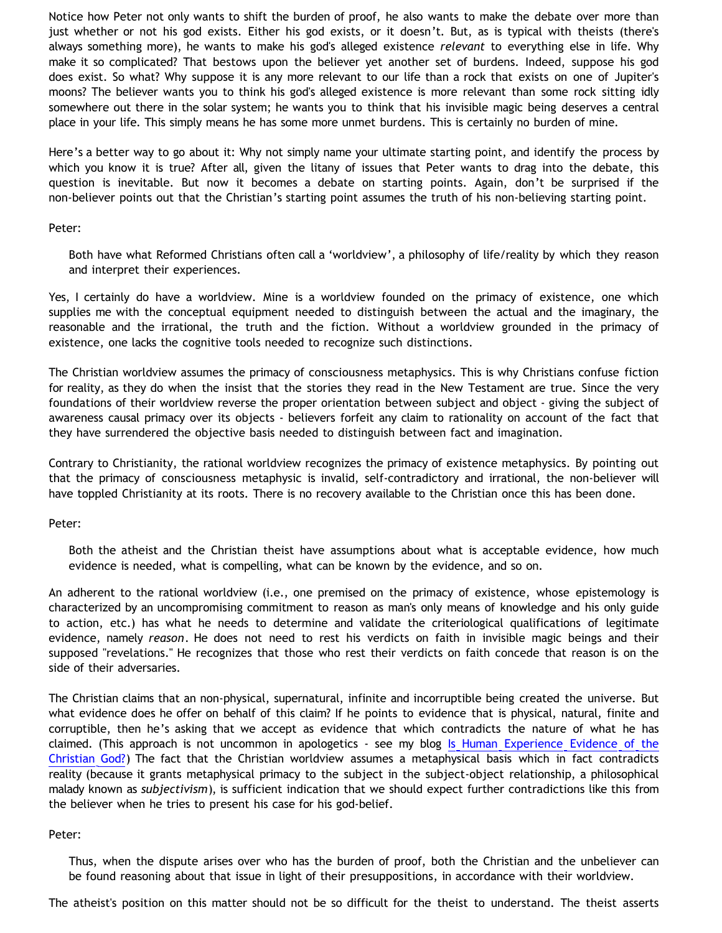Notice how Peter not only wants to shift the burden of proof, he also wants to make the debate over more than just whether or not his god exists. Either his god exists, or it doesn't. But, as is typical with theists (there's always something more), he wants to make his god's alleged existence *relevant* to everything else in life. Why make it so complicated? That bestows upon the believer yet another set of burdens. Indeed, suppose his god does exist. So what? Why suppose it is any more relevant to our life than a rock that exists on one of Jupiter's moons? The believer wants you to think his god's alleged existence is more relevant than some rock sitting idly somewhere out there in the solar system; he wants you to think that his invisible magic being deserves a central place in your life. This simply means he has some more unmet burdens. This is certainly no burden of mine.

Here's a better way to go about it: Why not simply name your ultimate starting point, and identify the process by which you know it is true? After all, given the litany of issues that Peter wants to drag into the debate, this question is inevitable. But now it becomes a debate on starting points. Again, don't be surprised if the non-believer points out that the Christian's starting point assumes the truth of his non-believing starting point.

### Peter:

Both have what Reformed Christians often call a 'worldview', a philosophy of life/reality by which they reason and interpret their experiences.

Yes, I certainly do have a worldview. Mine is a worldview founded on the primacy of existence, one which supplies me with the conceptual equipment needed to distinguish between the actual and the imaginary, the reasonable and the irrational, the truth and the fiction. Without a worldview grounded in the primacy of existence, one lacks the cognitive tools needed to recognize such distinctions.

The Christian worldview assumes the primacy of consciousness metaphysics. This is why Christians confuse fiction for reality, as they do when the insist that the stories they read in the New Testament are true. Since the very foundations of their worldview reverse the proper orientation between subject and object - giving the subject of awareness causal primacy over its objects - believers forfeit any claim to rationality on account of the fact that they have surrendered the objective basis needed to distinguish between fact and imagination.

Contrary to Christianity, the rational worldview recognizes the primacy of existence metaphysics. By pointing out that the primacy of consciousness metaphysic is invalid, self-contradictory and irrational, the non-believer will have toppled Christianity at its roots. There is no recovery available to the Christian once this has been done.

#### Peter:

Both the atheist and the Christian theist have assumptions about what is acceptable evidence, how much evidence is needed, what is compelling, what can be known by the evidence, and so on.

An adherent to the rational worldview (i.e., one premised on the primacy of existence, whose epistemology is characterized by an uncompromising commitment to reason as man's only means of knowledge and his only guide to action, etc.) has what he needs to determine and validate the criteriological qualifications of legitimate evidence, namely *reason*. He does not need to rest his verdicts on faith in invisible magic beings and their supposed "revelations." He recognizes that those who rest their verdicts on faith concede that reason is on the side of their adversaries.

The Christian claims that an non-physical, supernatural, infinite and incorruptible being created the universe. But what evidence does he offer on behalf of this claim? If he points to evidence that is physical, natural, finite and corruptible, then he's asking that we accept as evidence that which contradicts the nature of what he has claimed. (This approach is not uncommon in apologetics - see my blog [Is Human Experience Evidence of the](http://bahnsenburner.blogspot.com/2005/06/is-human-experience-evidence-of.html) [Christian God?\)](http://bahnsenburner.blogspot.com/2005/06/is-human-experience-evidence-of.html) The fact that the Christian worldview assumes a metaphysical basis which in fact contradicts reality (because it grants metaphysical primacy to the subject in the subject-object relationship, a philosophical malady known as *subjectivism*), is sufficient indication that we should expect further contradictions like this from the believer when he tries to present his case for his god-belief.

#### Peter:

Thus, when the dispute arises over who has the burden of proof, both the Christian and the unbeliever can be found reasoning about that issue in light of their presuppositions, in accordance with their worldview.

The atheist's position on this matter should not be so difficult for the theist to understand. The theist asserts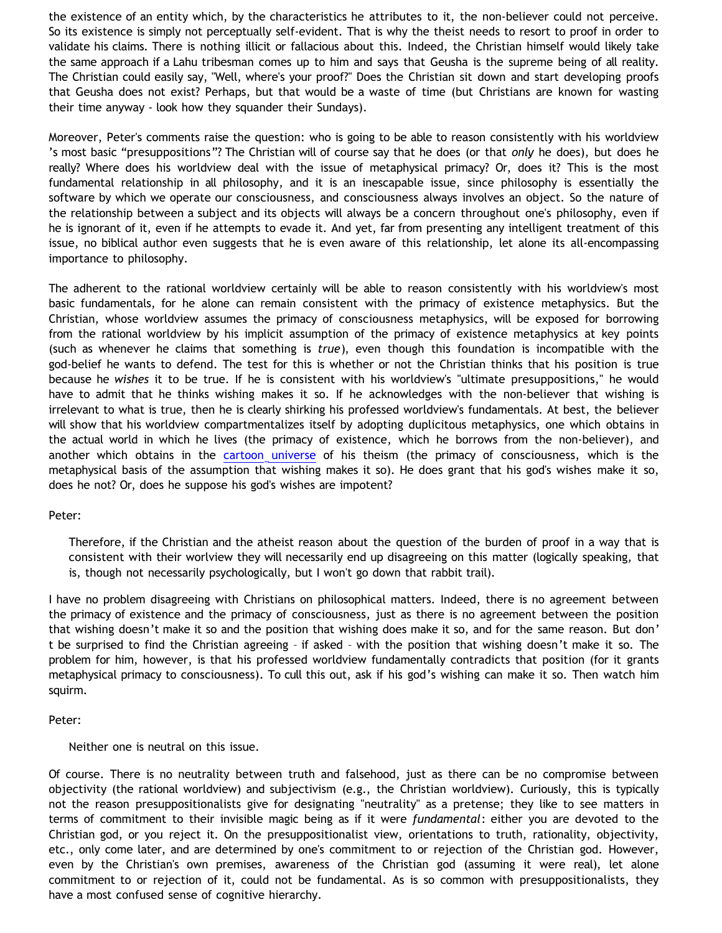the existence of an entity which, by the characteristics he attributes to it, the non-believer could not perceive. So its existence is simply not perceptually self-evident. That is why the theist needs to resort to proof in order to validate his claims. There is nothing illicit or fallacious about this. Indeed, the Christian himself would likely take the same approach if a Lahu tribesman comes up to him and says that Geusha is the supreme being of all reality. The Christian could easily say, "Well, where's your proof?" Does the Christian sit down and start developing proofs that Geusha does not exist? Perhaps, but that would be a waste of time (but Christians are known for wasting their time anyway - look how they squander their Sundays).

Moreover, Peter's comments raise the question: who is going to be able to reason consistently with his worldview 's most basic "presuppositions"? The Christian will of course say that he does (or that *only* he does), but does he really? Where does his worldview deal with the issue of metaphysical primacy? Or, does it? This is the most fundamental relationship in all philosophy, and it is an inescapable issue, since philosophy is essentially the software by which we operate our consciousness, and consciousness always involves an object. So the nature of the relationship between a subject and its objects will always be a concern throughout one's philosophy, even if he is ignorant of it, even if he attempts to evade it. And yet, far from presenting any intelligent treatment of this issue, no biblical author even suggests that he is even aware of this relationship, let alone its all-encompassing importance to philosophy.

The adherent to the rational worldview certainly will be able to reason consistently with his worldview's most basic fundamentals, for he alone can remain consistent with the primacy of existence metaphysics. But the Christian, whose worldview assumes the primacy of consciousness metaphysics, will be exposed for borrowing from the rational worldview by his implicit assumption of the primacy of existence metaphysics at key points (such as whenever he claims that something is *true*), even though this foundation is incompatible with the god-belief he wants to defend. The test for this is whether or not the Christian thinks that his position is true because he *wishes* it to be true. If he is consistent with his worldview's "ultimate presuppositions," he would have to admit that he thinks wishing makes it so. If he acknowledges with the non-believer that wishing is irrelevant to what is true, then he is clearly shirking his professed worldview's fundamentals. At best, the believer will show that his worldview compartmentalizes itself by adopting duplicitous metaphysics, one which obtains in the actual world in which he lives (the primacy of existence, which he borrows from the non-believer), and another which obtains in the [cartoon universe](http://www.strongatheism.net/library/atheology/cartoon_universe_of_theism/) of his theism (the primacy of consciousness, which is the metaphysical basis of the assumption that wishing makes it so). He does grant that his god's wishes make it so, does he not? Or, does he suppose his god's wishes are impotent?

# Peter:

Therefore, if the Christian and the atheist reason about the question of the burden of proof in a way that is consistent with their worlview they will necessarily end up disagreeing on this matter (logically speaking, that is, though not necessarily psychologically, but I won't go down that rabbit trail).

I have no problem disagreeing with Christians on philosophical matters. Indeed, there is no agreement between the primacy of existence and the primacy of consciousness, just as there is no agreement between the position that wishing doesn't make it so and the position that wishing does make it so, and for the same reason. But don' t be surprised to find the Christian agreeing – if asked – with the position that wishing doesn't make it so. The problem for him, however, is that his professed worldview fundamentally contradicts that position (for it grants metaphysical primacy to consciousness). To cull this out, ask if his god's wishing can make it so. Then watch him squirm.

# Peter:

Neither one is neutral on this issue.

Of course. There is no neutrality between truth and falsehood, just as there can be no compromise between objectivity (the rational worldview) and subjectivism (e.g., the Christian worldview). Curiously, this is typically not the reason presuppositionalists give for designating "neutrality" as a pretense; they like to see matters in terms of commitment to their invisible magic being as if it were *fundamental*: either you are devoted to the Christian god, or you reject it. On the presuppositionalist view, orientations to truth, rationality, objectivity, etc., only come later, and are determined by one's commitment to or rejection of the Christian god. However, even by the Christian's own premises, awareness of the Christian god (assuming it were real), let alone commitment to or rejection of it, could not be fundamental. As is so common with presuppositionalists, they have a most confused sense of cognitive hierarchy.